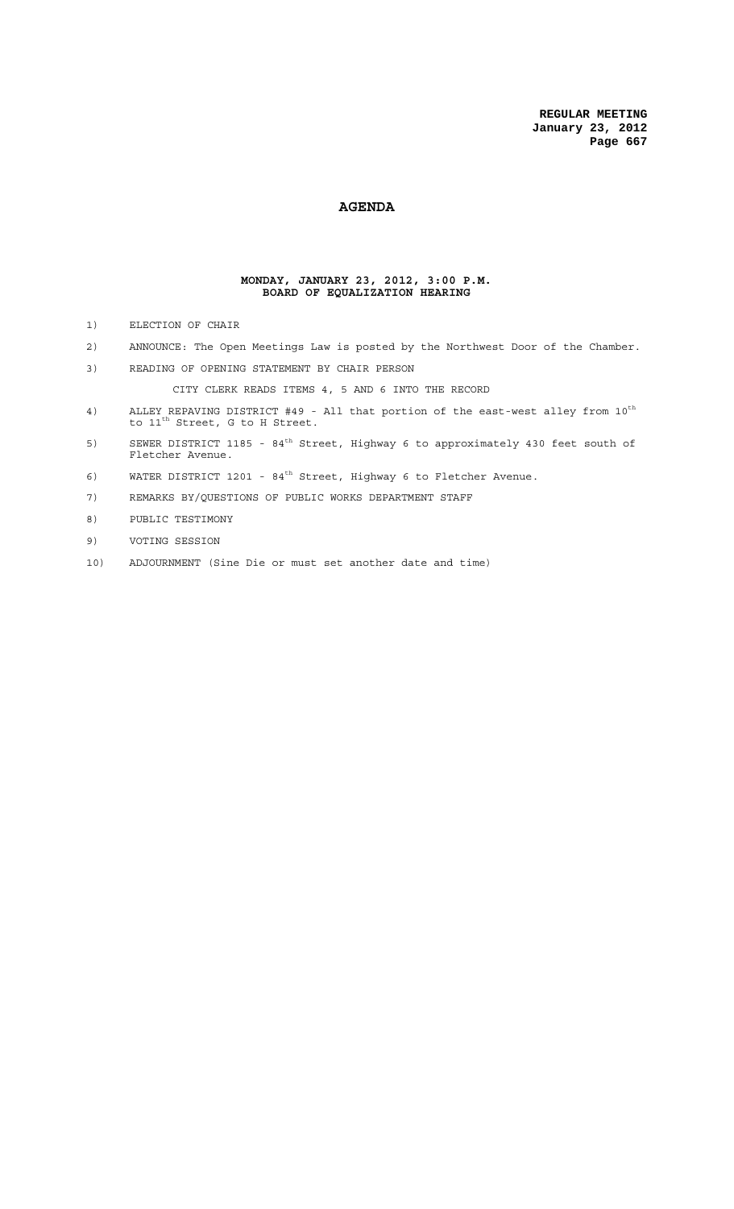## **AGENDA**

#### **MONDAY, JANUARY 23, 2012, 3:00 P.M. BOARD OF EQUALIZATION HEARING**

- 1) ELECTION OF CHAIR
- 2) ANNOUNCE: The Open Meetings Law is posted by the Northwest Door of the Chamber.
- 3) READING OF OPENING STATEMENT BY CHAIR PERSON

CITY CLERK READS ITEMS 4, 5 AND 6 INTO THE RECORD

- 4) ALLEY REPAVING DISTRICT #49 All that portion of the east-west alley from  $10^{th}$ to  $11^{\text{th}}$  Street, G to H Street.
- 5) SEWER DISTRICT 1185 84<sup>th</sup> Street, Highway 6 to approximately 430 feet south of Fletcher Avenue.
- 6) WATER DISTRICT 1201  $84<sup>th</sup>$  Street, Highway 6 to Fletcher Avenue.
- 7) REMARKS BY/QUESTIONS OF PUBLIC WORKS DEPARTMENT STAFF
- 8) PUBLIC TESTIMONY
- 9) VOTING SESSION
- 10) ADJOURNMENT (Sine Die or must set another date and time)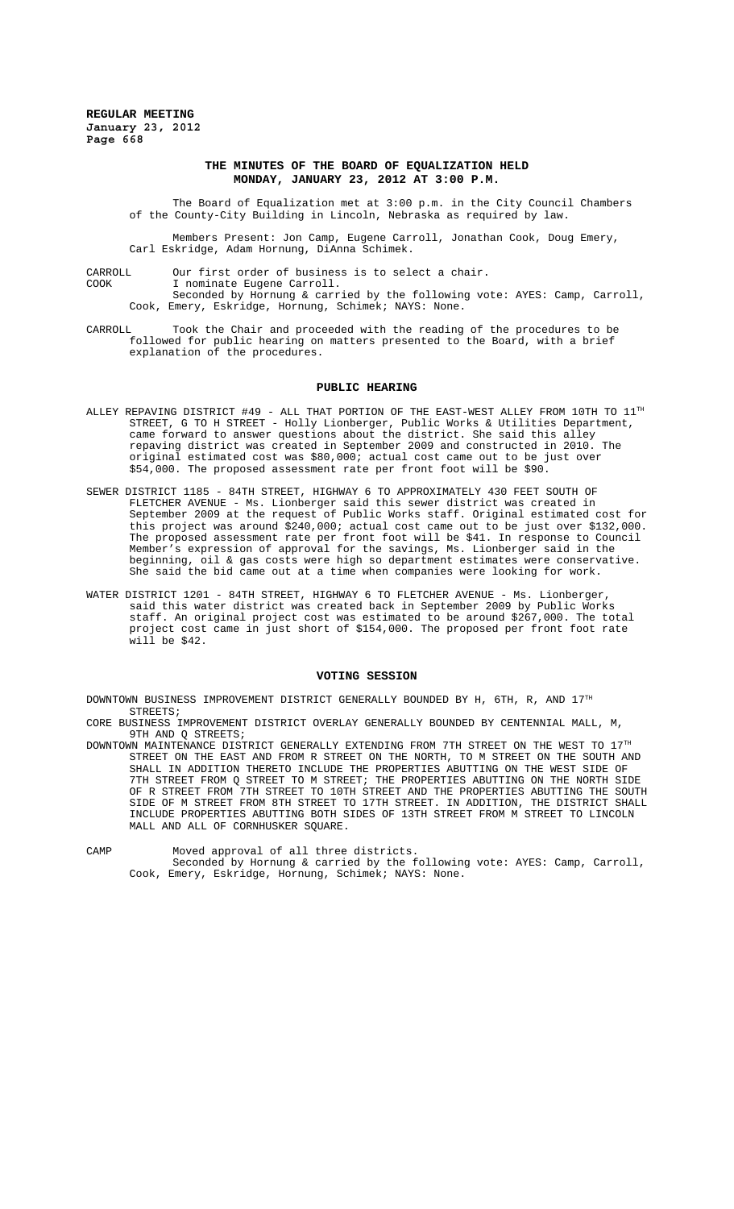## **THE MINUTES OF THE BOARD OF EQUALIZATION HELD MONDAY, JANUARY 23, 2012 AT 3:00 P.M.**

The Board of Equalization met at 3:00 p.m. in the City Council Chambers of the County-City Building in Lincoln, Nebraska as required by law.

Members Present: Jon Camp, Eugene Carroll, Jonathan Cook, Doug Emery, Carl Eskridge, Adam Hornung, DiAnna Schimek.

CARROLL Our first order of business is to select a chair.

COOK I nominate Eugene Carroll.

Seconded by Hornung & carried by the following vote: AYES: Camp, Carroll, Cook, Emery, Eskridge, Hornung, Schimek; NAYS: None.

CARROLL Took the Chair and proceeded with the reading of the procedures to be followed for public hearing on matters presented to the Board, with a brief explanation of the procedures.

#### **PUBLIC HEARING**

- ALLEY REPAVING DISTRICT #49 ALL THAT PORTION OF THE EAST-WEST ALLEY FROM  $10$ TH TO  $11^{\text{th}}$ STREET, G TO H STREET - Holly Lionberger, Public Works & Utilities Department, came forward to answer questions about the district. She said this alley repaving district was created in September 2009 and constructed in 2010 original estimated cost was \$80,000; actual cost came out to be just over \$54,000. The proposed assessment rate per front foot will be \$90.
- SEWER DISTRICT 1185 84TH STREET, HIGHWAY 6 TO APPROXIMATELY 430 FEET SOUTH OF FLETCHER AVENUE - Ms. Lionberger said this sewer district was created in September 2009 at the request of Public Works staff. Original estimated cost for this project was around \$240,000; actual cost came out to be just over \$132,000. The proposed assessment rate per front foot will be \$41. In response to Council Member's expression of approval for the savings, Ms. Lionberger said in the beginning, oil & gas costs were high so department estimates were conservative. She said the bid came out at a time when companies were looking for work.
- WATER DISTRICT 1201 84TH STREET, HIGHWAY 6 TO FLETCHER AVENUE Ms. Lionberger, said this water district was created back in September 2009 by Public Works staff. An original project cost was estimated to be around \$267,000. The total project cost came in just short of \$154,000. The proposed per front foot rate  $\overline{$ will be \$42.

#### **VOTING SESSION**

DOWNTOWN BUSINESS IMPROVEMENT DISTRICT GENERALLY BOUNDED BY H, 6TH, R, AND  $17^{\text{th}}$ STREETS;

CORE BUSINESS IMPROVEMENT DISTRICT OVERLAY GENERALLY BOUNDED BY CENTENNIAL MALL, M, 9TH AND Q STREETS;

DOWNTOWN MAINTENANCE DISTRICT GENERALLY EXTENDING FROM 7TH STREET ON THE WEST TO  $17^{\text{th}}$ STREET ON THE EAST AND FROM R STREET ON THE NORTH, TO M STREET ON THE SOUTH AND SHALL IN ADDITION THERETO INCLUDE THE PROPERTIES ABUTTING ON THE WEST SIDE OF 7TH STREET FROM Q STREET TO M STREET; THE PROPERTIES ABUTTING ON THE NORTH SIDE OF R STREET FROM 7TH STREET TO 10TH STREET AND THE PROPERTIES ABUTTING THE SOUTH SIDE OF M STREET FROM 8TH STREET TO 17TH STREET. IN ADDITION, THE DISTRICT SHALL INCLUDE PROPERTIES ABUTTING BOTH SIDES OF 13TH STREET FROM M STREET TO LINCOLN MALL AND ALL OF CORNHUSKER SOUARE.

CAMP Moved approval of all three districts.

Seconded by Hornung & carried by the following vote: AYES: Camp, Carroll, Cook, Emery, Eskridge, Hornung, Schimek; NAYS: None.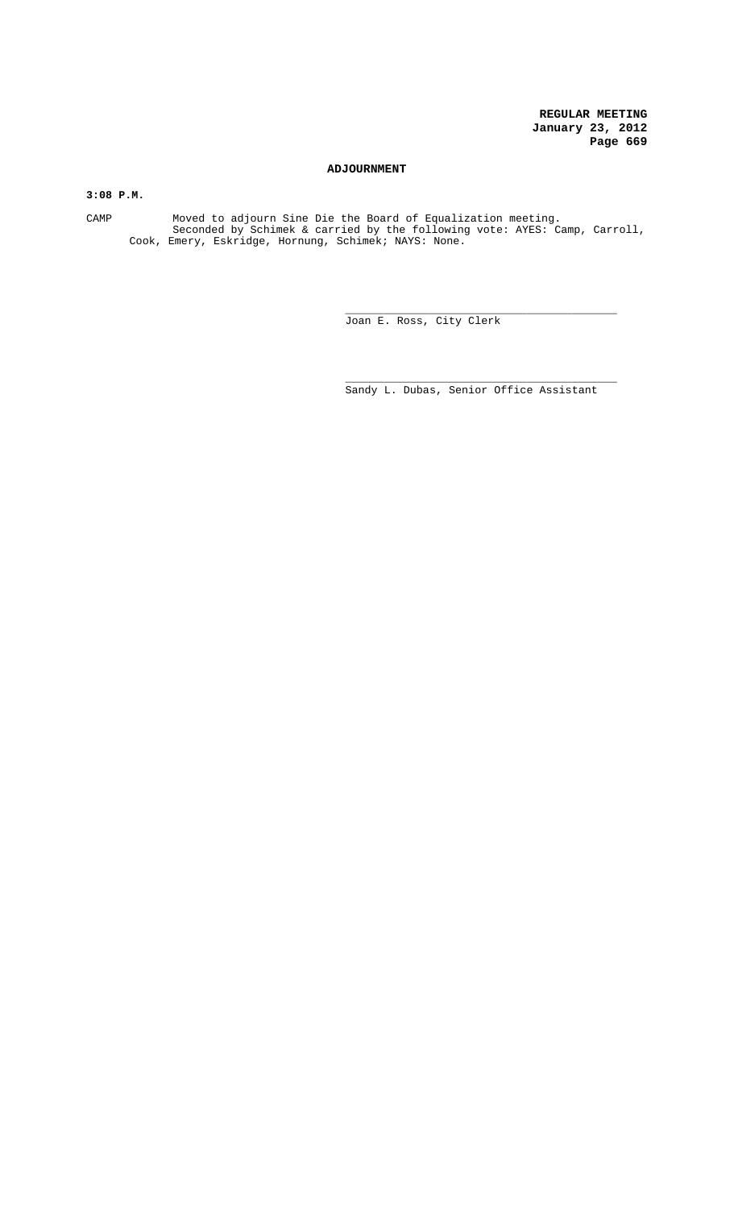## **ADJOURNMENT**

**3:08 P.M.**

CAMP Moved to adjourn Sine Die the Board of Equalization meeting. Seconded by Schimek & carried by the following vote: AYES: Camp, Carroll, Cook, Emery, Eskridge, Hornung, Schimek; NAYS: None.

> \_\_\_\_\_\_\_\_\_\_\_\_\_\_\_\_\_\_\_\_\_\_\_\_\_\_\_\_\_\_\_\_\_\_\_\_\_\_\_\_\_\_ Joan E. Ross, City Clerk

> \_\_\_\_\_\_\_\_\_\_\_\_\_\_\_\_\_\_\_\_\_\_\_\_\_\_\_\_\_\_\_\_\_\_\_\_\_\_\_\_\_\_ Sandy L. Dubas, Senior Office Assistant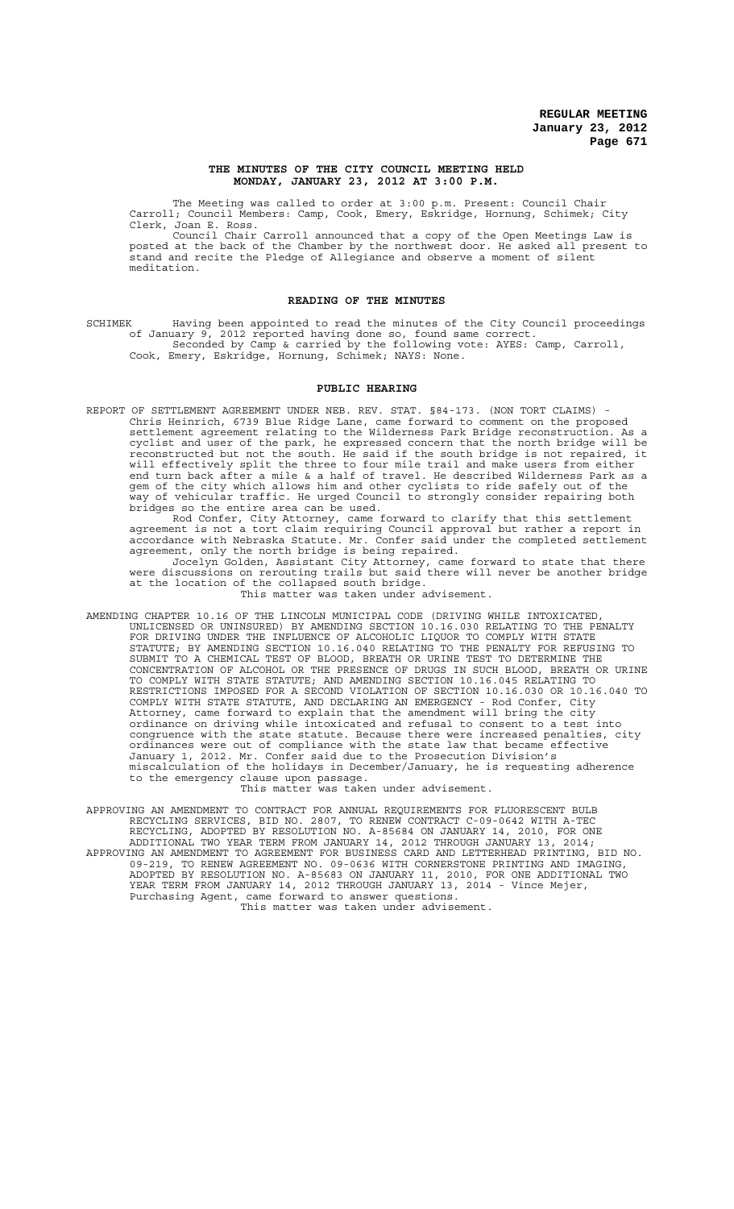#### **THE MINUTES OF THE CITY COUNCIL MEETING HELD MONDAY, JANUARY 23, 2012 AT 3:00 P.M.**

The Meeting was called to order at 3:00 p.m. Present: Council Chair Carroll; Council Members: Camp, Cook, Emery, Eskridge, Hornung, Schimek; City Clerk, Joan E. Ross.

Council Chair Carroll announced that a copy of the Open Meetings Law is posted at the back of the Chamber by the northwest door. He asked all present to stand and recite the Pledge of Allegiance and observe a moment of silent meditation.

#### **READING OF THE MINUTES**

SCHIMEK Having been appointed to read the minutes of the City Council proceedings of January 9, 2012 reported having done so, found same correct. Seconded by Camp & carried by the following vote: AYES: Camp, Carroll, Cook, Emery, Eskridge, Hornung, Schimek; NAYS: None.

#### **PUBLIC HEARING**

REPORT OF SETTLEMENT AGREEMENT UNDER NEB. REV. STAT. §84-173. (NON TORT CLAIMS) Chris Heinrich, 6739 Blue Ridge Lane, came forward to comment on the proposed settlement agreement relating to the Wilderness Park Bridge reconstruction. As a cyclist and user of the park, he expressed concern that the north bridge will be reconstructed but not the south. He said if the south bridge is not repaired, it will effectively split the three to four mile trail and make users from either end turn back after a mile & a half of travel. He described Wilderness Park as a gem of the city which allows him and other cyclists to ride safely out of the way of vehicular traffic. He urged Council to strongly consider repairing both bridges so the entire area can be used.

Rod Confer, City Attorney, came forward to clarify that this settlement agreement is not a tort claim requiring Council approval but rather a report in accordance with Nebraska Statute. Mr. Confer said under the completed settlement agreement, only the north bridge is being repaired.

Jocelyn Golden, Assistant City Attorney, came forward to state that there were discussions on rerouting trails but said there will never be another bridge at the location of the collapsed south bridge.

This matter was taken under advisement.

AMENDING CHAPTER 10.16 OF THE LINCOLN MUNICIPAL CODE (DRIVING WHILE INTOXICATED, UNLICENSED OR UNINSURED) BY AMENDING SECTION 10.16.030 RELATING TO THE PENALTY FOR DRIVING UNDER THE INFLUENCE OF ALCOHOLIC LIQUOR TO COMPLY WITH STATE STATUTE; BY AMENDING SECTION 10.16.040 RELATING TO THE PENALTY FOR REFUSING TO SUBMIT TO A CHEMICAL TEST OF BLOOD, BREATH OR URINE TEST TO DETERMINE THE CONCENTRATION OF ALCOHOL OR THE PRESENCE OF DRUGS IN SUCH BLOOD, BREATH OR URINE TO COMPLY WITH STATE STATUTE; AND AMENDING SECTION 10.16.045 RELATING TO RESTRICTIONS IMPOSED FOR A SECOND VIOLATION OF SECTION 10.16.030 OR 10.16.040 TO COMPLY WITH STATE STATUTE, AND DECLARING AN EMERGENCY - Rod Confer, City Attorney, came forward to explain that the amendment will bring the city ordinance on driving while intoxicated and refusal to consent to a test into congruence with the state statute. Because there were increased penalties, city ordinances were out of compliance with the state law that became effective January 1, 2012. Mr. Confer said due to the Prosecution Division's miscalculation of the holidays in December/January, he is requesting adherence to the emergency clause upon passage.

This matter was taken under advisement.

APPROVING AN AMENDMENT TO CONTRACT FOR ANNUAL REQUIREMENTS FOR FLUORESCENT BULB RECYCLING SERVICES, BID NO. 2807, TO RENEW CONTRACT C-09-0642 WITH A-TEC RECYCLING, ADOPTED BY RESOLUTION NO. A-85684 ON JANUARY 14, 2010, FOR ONE ADDITIONAL TWO YEAR TERM FROM JANUARY 14, 2012 THROUGH JANUARY 13, 2014; APPROVING AN AMENDMENT TO AGREEMENT FOR BUSINESS CARD AND LETTERHEAD PRINTING, BID NO. 09-219, TO RENEW AGREEMENT NO. 09-0636 WITH CORNERSTONE PRINTING AND IMAGING, ADOPTED BY RESOLUTION NO. A-85683 ON JANUARY 11, 2010, FOR ONE ADDITIONAL TWO YEAR TERM FROM JANUARY 14, 2012 THROUGH JANUARY 13, 2014 - Vince Mejer, Purchasing Agent, came forward to answer questions. This matter was taken under advisement.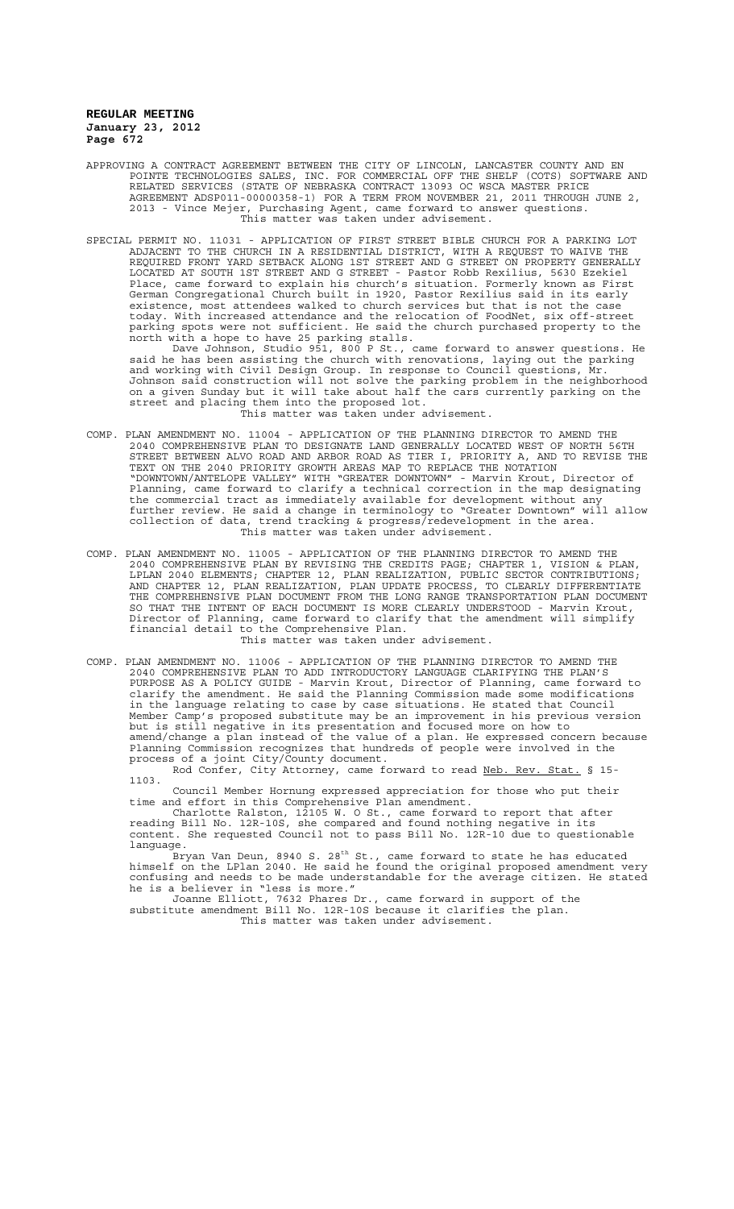- APPROVING A CONTRACT AGREEMENT BETWEEN THE CITY OF LINCOLN, LANCASTER COUNTY AND EN POINTE TECHNOLOGIES SALES, INC. FOR COMMERCIAL OFF THE SHELF (COTS) SOFTWARE AND RELATED SERVICES (STATE OF NEBRASKA CONTRACT 13093 OC WSCA MASTER PRICE AGREEMENT ADSP011-00000358-1) FOR A TERM FROM NOVEMBER 21, 2011 THROUGH JUNE 2, 2013 - Vince Mejer, Purchasing Agent, came forward to answer questions. This matter was taken under advisement.
- SPECIAL PERMIT NO. 11031 APPLICATION OF FIRST STREET BIBLE CHURCH FOR A PARKING LOT ADJACENT TO THE CHURCH IN A RESIDENTIAL DISTRICT, WITH A REQUEST TO WAIVE THE REQUIRED FRONT YARD SETBACK ALONG 1ST STREET AND G STREET ON PROPERTY GENERALLY LOCATED AT SOUTH 1ST STREET AND G STREET - Pastor Robb Rexilius, 5630 Ezekiel Place, came forward to explain his church's situation. Formerly known as First German Congregational Church built in 1920, Pastor Rexilius said in its early existence, most attendees walked to church services but that is not the case today. With increased attendance and the relocation of FoodNet, six off-street parking spots were not sufficient. He said the church purchased property to the north with a hope to have 25 parking stalls. Dave Johnson, Studio 951, 800 P St., came forward to answer questions. He said he has been assisting the church with renovations, laying out the parking and working with Civil Design Group. In response to Council questions, Mr. Johnson said construction will not solve the parking problem in the neighborhood on a given Sunday but it will take about half the cars currently parking on the street and placing them into the proposed lot. This matter was taken under advisement.
- COMP. PLAN AMENDMENT NO. 11004 APPLICATION OF THE PLANNING DIRECTOR TO AMEND THE 2040 COMPREHENSIVE PLAN TO DESIGNATE LAND GENERALLY LOCATED WEST OF NORTH 56TH STREET BETWEEN ALVO ROAD AND ARBOR ROAD AS TIER I, PRIORITY A, AND TO REVISE THE TEXT ON THE 2040 PRIORITY GROWTH AREAS MAP TO REPLACE THE NOTATION "DOWNTOWN/ANTELOPE VALLEY" WITH "GREATER DOWNTOWN" - Marvin Krout, Director of Planning, came forward to clarify a technical correction in the map designating the commercial tract as immediately available for development without any further review. He said a change in terminology to "Greater Downtown" will allow collection of data, trend tracking & progress/redevelopment in the area. This matter was taken under advisement.
- COMP. PLAN AMENDMENT NO. 11005 APPLICATION OF THE PLANNING DIRECTOR TO AMEND THE 2040 COMPREHENSIVE PLAN BY REVISING THE CREDITS PAGE; CHAPTER 1, VISION & PLAN, LPLAN 2040 ELEMENTS; CHAPTER 12, PLAN REALIZATION, PUBLIC SECTOR CONTRIBUTIONS; AND CHAPTER 12, PLAN REALIZATION, PLAN UPDATE PROCESS, TO CLEARLY DIFFERENTIATE THE COMPREHENSIVE PLAN DOCUMENT FROM THE LONG RANGE TRANSPORTATION PLAN DOCUMENT SO THAT THE INTENT OF EACH DOCUMENT IS MORE CLEARLY UNDERSTOOD - Marvin Krout, Director of Planning, came forward to clarify that the amendment will simplify financial detail to the Comprehensive Plan.

This matter was taken under advisement.

COMP. PLAN AMENDMENT NO. 11006 - APPLICATION OF THE PLANNING DIRECTOR TO AMEND THE 2040 COMPREHENSIVE PLAN TO ADD INTRODUCTORY LANGUAGE CLARIFYING THE PLAN'S PURPOSE AS A POLICY GUIDE - Marvin Krout, Director of Planning, came forward to clarify the amendment. He said the Planning Commission made some modifications in the language relating to case by case situations. He stated that Council Member Camp's proposed substitute may be an improvement in his previous version but is still negative in its presentation and focused more on how to amend/change a plan instead of the value of a plan. He expressed concern because Planning Commission recognizes that hundreds of people were involved in the process of a joint City/County document.

Rod Confer, City Attorney, came forward to read Neb. Rev. Stat. § 15-1103.

Council Member Hornung expressed appreciation for those who put their time and effort in this Comprehensive Plan amendment.

Charlotte Ralston, 12105 W. O St., came forward to report that after reading Bill No. 12R-10S, she compared and found nothing negative in its content. She requested Council not to pass Bill No. 12R-10 due to questionable language.

 $\tilde{B}$ ryan Van Deun, 8940 S. 28 $^{\text{th}}$  St., came forward to state he has educated himself on the LPlan 2040. He said he found the original proposed amendment very confusing and needs to be made understandable for the average citizen. He stated he is a believer in "less is more."

Joanne Elliott, 7632 Phares Dr., came forward in support of the substitute amendment Bill No. 12R-10S because it clarifies the plan. This matter was taken under advisement.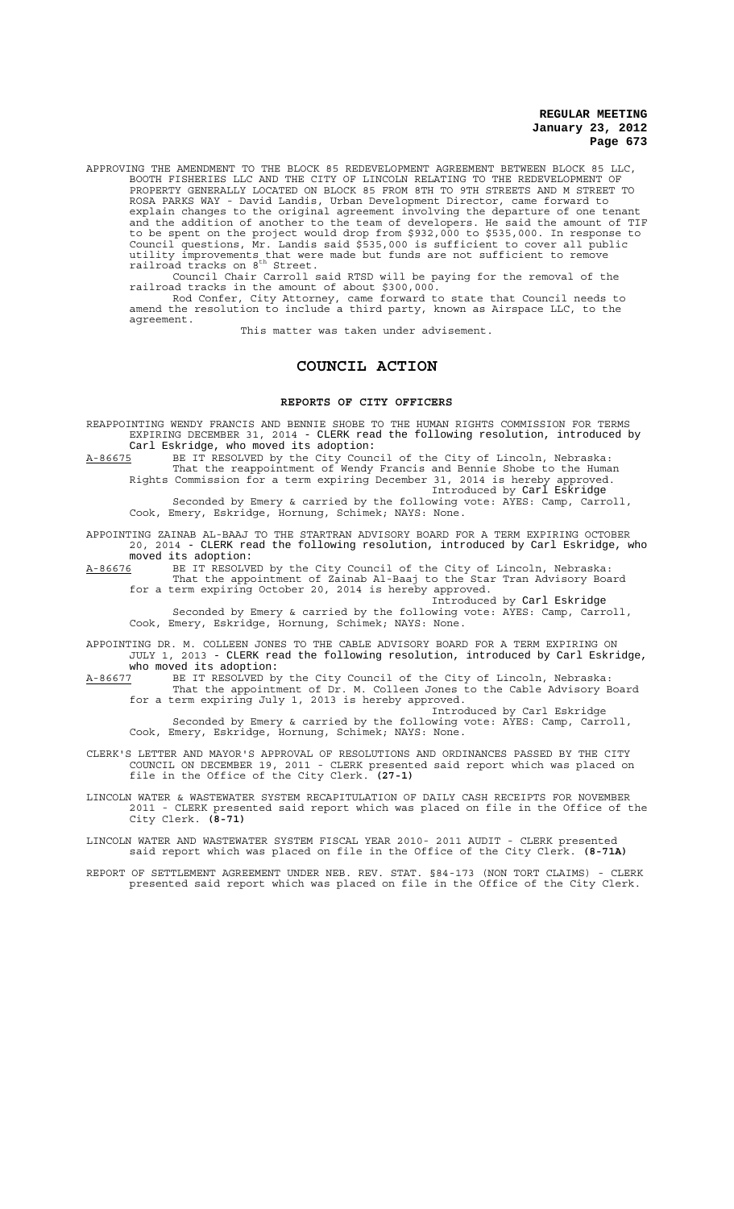APPROVING THE AMENDMENT TO THE BLOCK 85 REDEVELOPMENT AGREEMENT BETWEEN BLOCK 85 LLC, BOOTH FISHERIES LLC AND THE CITY OF LINCOLN RELATING TO THE REDEVELOPMENT OF PROPERTY GENERALLY LOCATED ON BLOCK 85 FROM 8TH TO 9TH STREETS AND M STREET TO ROSA PARKS WAY - David Landis, Urban Development Director, came forward to explain changes to the original agreement involving the departure of one tenant and the addition of another to the team of developers. He said the amount of TIF to be spent on the project would drop from \$932,000 to \$535,000. In response to Council questions, Mr. Landis said \$535,000 is sufficient to cover all public utility improvements that were made but funds are not sufficient to remove<br>railroad tracks on 8<sup>th</sup> Street.

Council Chair Carroll said RTSD will be paying for the removal of the railroad tracks in the amount of about \$300,000.

Rod Confer, City Attorney, came forward to state that Council needs to amend the resolution to include a third party, known as Airspace LLC, to the agreement. This matter was taken under advisement.

# **COUNCIL ACTION**

#### **REPORTS OF CITY OFFICERS**

REAPPOINTING WENDY FRANCIS AND BENNIE SHOBE TO THE HUMAN RIGHTS COMMISSION FOR TERMS EXPIRING DECEMBER 31, 2014 - CLERK read the following resolution, introduced by Carl Eskridge, who moved its adoption:

A-86675 BE IT RESOLVED by the City Council of the City of Lincoln, Nebraska: That the reappointment of Wendy Francis and Bennie Shobe to the Human Rights Commission for a term expiring December 31, 2014 is hereby approved. Introduced by Carl Eskridge

Seconded by Emery & carried by the following vote: AYES: Camp, Carroll, Cook, Emery, Eskridge, Hornung, Schimek; NAYS: None.

APPOINTING ZAINAB AL-BAAJ TO THE STARTRAN ADVISORY BOARD FOR A TERM EXPIRING OCTOBER 20, 2014 - CLERK read the following resolution, introduced by Carl Eskridge, who moved its adoption:<br>A-86676 BE IT RESOLV

A-86676 BE IT RESOLVED by the City Council of the City of Lincoln, Nebraska: That the appointment of Zainab Al-Baaj to the Star Tran Advisory Board for a term expiring October 20, 2014 is hereby approved.

Introduced by Carl Eskridge Seconded by Emery & carried by the following vote: AYES: Camp, Carroll, Cook, Emery, Eskridge, Hornung, Schimek; NAYS: None.

APPOINTING DR. M. COLLEEN JONES TO THE CABLE ADVISORY BOARD FOR A TERM EXPIRING ON JULY 1, 2013 - CLERK read the following resolution, introduced by Carl Eskridge,

who moved its adoption:<br>A-86677 BE IT RESOLVED by A-86677 BE IT RESOLVED by the City Council of the City of Lincoln, Nebraska: That the appointment of Dr. M. Colleen Jones to the Cable Advisory Board for a term expiring July 1, 2013 is hereby approved.

Introduced by Carl Eskridge Seconded by Emery & carried by the following vote: AYES: Camp, Carroll, Cook, Emery, Eskridge, Hornung, Schimek; NAYS: None.

CLERK'S LETTER AND MAYOR'S APPROVAL OF RESOLUTIONS AND ORDINANCES PASSED BY THE CITY COUNCIL ON DECEMBER 19, 2011 - CLERK presented said report which was placed on file in the Office of the City Clerk. **(27-1)**

LINCOLN WATER & WASTEWATER SYSTEM RECAPITULATION OF DAILY CASH RECEIPTS FOR NOVEMBER 2011 - CLERK presented said report which was placed on file in the Office of the City Clerk. **(8-71)**

LINCOLN WATER AND WASTEWATER SYSTEM FISCAL YEAR 2010- 2011 AUDIT - CLERK presented said report which was placed on file in the Office of the City Clerk. **(8-71A)**

REPORT OF SETTLEMENT AGREEMENT UNDER NEB. REV. STAT. §84-173 (NON TORT CLAIMS) - CLERK presented said report which was placed on file in the Office of the City Clerk.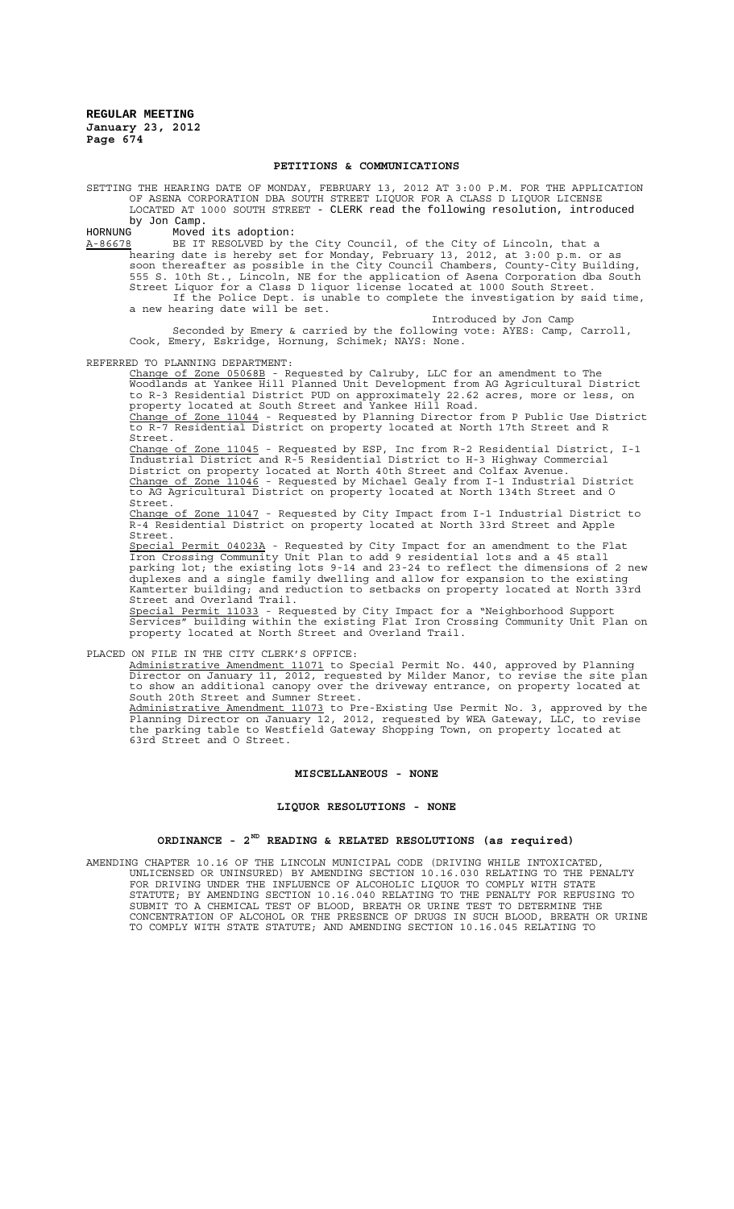#### **PETITIONS & COMMUNICATIONS**

SETTING THE HEARING DATE OF MONDAY, FEBRUARY 13, 2012 AT 3:00 P.M. FOR THE APPLICATION OF ASENA CORPORATION DBA SOUTH STREET LIQUOR FOR A CLASS D LIQUOR LICENSE LOCATED AT 1000 SOUTH STREET - CLERK read the following resolution, introduced by Jon Camp.<br>HORNIJNG Moved

HORNUNG Moved its adoption:<br>A-86678 BE IT RESOLVED by t A-86678 BE IT RESOLVED by the City Council, of the City of Lincoln, that a hearing date is hereby set for Monday, February 13, 2012, at 3:00 p.m. or as soon thereafter as possible in the City Council Chambers, County-City Building, 555 S. 10th St., Lincoln, NE for the application of Asena Corporation dba South Street Liquor for a Class D liquor license located at 1000 South Street. If the Police Dept. is unable to complete the investigation by said time, a new hearing date will be set.

Introduced by Jon Camp Seconded by Emery & carried by the following vote: AYES: Camp, Carroll, Cook, Emery, Eskridge, Hornung, Schimek; NAYS: None.

REFERRED TO PLANNING DEPARTMENT:

Change of Zone 05068B - Requested by Calruby, LLC for an amendment to The Woodlands at Yankee Hill Planned Unit Development from AG Agricultural District to R-3 Residential District PUD on approximately 22.62 acres, more or less, on property located at South Street and Yankee Hill Road.

Change of Zone 11044 - Requested by Planning Director from P Public Use District to R-7 Residential District on property located at North 17th Street and R Street.

Change of Zone 11045 - Requested by ESP, Inc from R-2 Residential District, I-1 Industrial District and R-5 Residential District to H-3 Highway Commercial District on property located at North 40th Street and Colfax Avenue. Change of Zone 11046 - Requested by Michael Gealy from I-1 Industrial District to AG Agricultural District on property located at North 134th Street and O Street.

Change of Zone 11047 - Requested by City Impact from I-1 Industrial District to R-4 Residential District on property located at North 33rd Street and Apple Street.

Special Permit 04023A - Requested by City Impact for an amendment to the Flat Iron Crossing Community Unit Plan to add 9 residential lots and a 45 stall parking lot; the existing lots 9-14 and 23-24 to reflect the dimensions of 2 new duplexes and a single family dwelling and allow for expansion to the existing Kamterter building; and reduction to setbacks on property located at North 33rd Street and Overland Trail.

Special Permit 11033 - Requested by City Impact for a "Neighborhood Support Services" building within the existing Flat Iron Crossing Community Unit Plan on property located at North Street and Overland Trail.

PLACED ON FILE IN THE CITY CLERK'S OFFICE:

Administrative Amendment 11071 to Special Permit No. 440, approved by Planning Director on January 11, 2012, requested by Milder Manor, to revise the site plan to show an additional canopy over the driveway entrance, on property located at South 20th Street and Sumner Street. Administrative Amendment 11073 to Pre-Existing Use Permit No. 3, approved by the

Planning Director on January 12, 2012, requested by WEA Gateway, LLC, to revise the parking table to Westfield Gateway Shopping Town, on property located at 63rd Street and O Street.

#### **MISCELLANEOUS - NONE**

#### **LIQUOR RESOLUTIONS - NONE**

## **ORDINANCE - 2ND READING & RELATED RESOLUTIONS (as required)**

AMENDING CHAPTER 10.16 OF THE LINCOLN MUNICIPAL CODE (DRIVING WHILE INTOXICATED, UNLICENSED OR UNINSURED) BY AMENDING SECTION 10.16.030 RELATING TO THE PENALTY FOR DRIVING UNDER THE INFLUENCE OF ALCOHOLIC LIQUOR TO COMPLY WITH STATE STATUTE; BY AMENDING SECTION 10.16.040 RELATING TO THE PENALTY FOR REFUSING TO SUBMIT TO A CHEMICAL TEST OF BLOOD, BREATH OR URINE TEST TO DETERMINE THE CONCENTRATION OF ALCOHOL OR THE PRESENCE OF DRUGS IN SUCH BLOOD, BREATH OR URINE TO COMPLY WITH STATE STATUTE; AND AMENDING SECTION 10.16.045 RELATING TO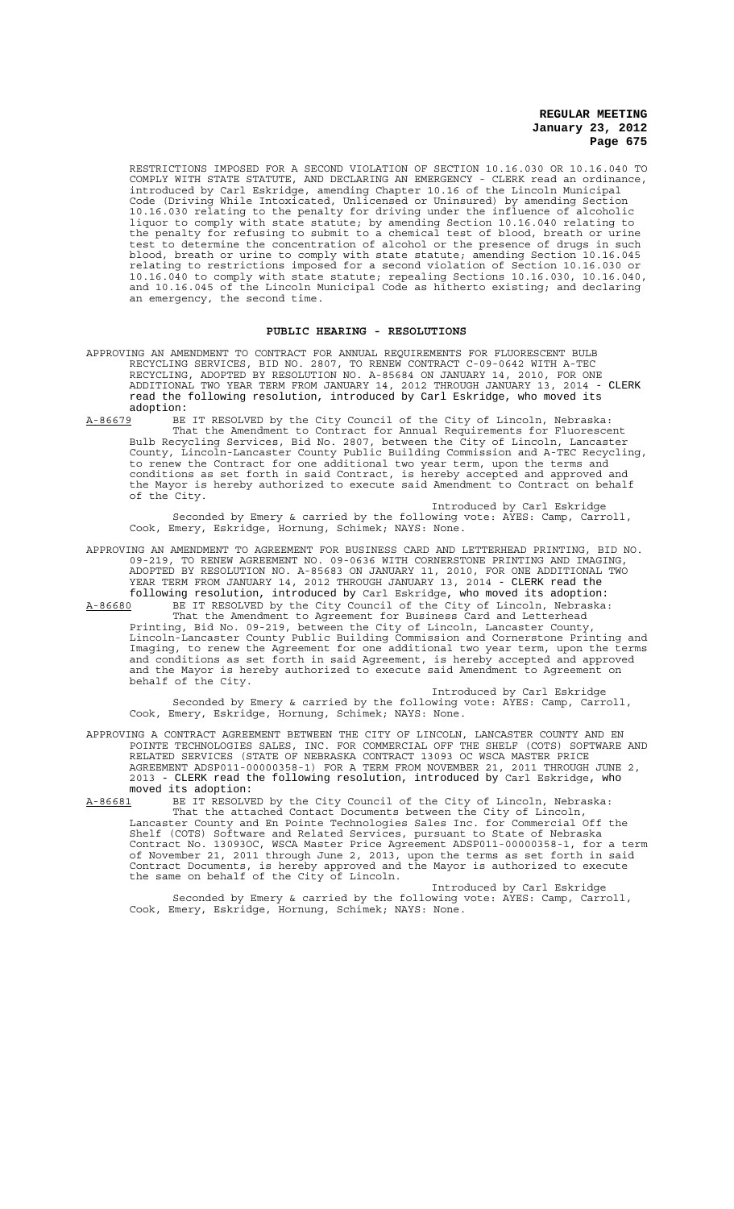RESTRICTIONS IMPOSED FOR A SECOND VIOLATION OF SECTION 10.16.030 OR 10.16.040 TO COMPLY WITH STATE STATUTE, AND DECLARING AN EMERGENCY - CLERK read an ordinance, introduced by Carl Eskridge, amending Chapter 10.16 of the Lincoln Municipal Code (Driving While Intoxicated, Unlicensed or Uninsured) by amending Section 10.16.030 relating to the penalty for driving under the influence of alcoholic liquor to comply with state statute; by amending Section 10.16.040 relating to the penalty for refusing to submit to a chemical test of blood, breath or urine test to determine the concentration of alcohol or the presence of drugs in such blood, breath or urine to comply with state statute; amending Section 10.16.045 relating to restrictions imposed for a second violation of Section 10.16.030 or 10.16.040 to comply with state statute; repealing Sections 10.16.030, 10.16.040, and 10.16.045 of the Lincoln Municipal Code as hitherto existing; and declaring an emergency, the second time.

#### **PUBLIC HEARING - RESOLUTIONS**

- APPROVING AN AMENDMENT TO CONTRACT FOR ANNUAL REQUIREMENTS FOR FLUORESCENT BULB RECYCLING SERVICES, BID NO. 2807, TO RENEW CONTRACT C-09-0642 WITH A-TEC RECYCLING, ADOPTED BY RESOLUTION NO. A-85684 ON JANUARY 14, 2010, FOR ONE ADDITIONAL TWO YEAR TERM FROM JANUARY 14, 2012 THROUGH JANUARY 13, 2014 - CLERK read the following resolution, introduced by Carl Eskridge, who moved its adoption:
- A-86679 BE IT RESOLVED by the City Council of the City of Lincoln, Nebraska: That the Amendment to Contract for Annual Requirements for Fluorescent Bulb Recycling Services, Bid No. 2807, between the City of Lincoln, Lancaster County, Lincoln-Lancaster County Public Building Commission and A-TEC Recycling, to renew the Contract for one additional two year term, upon the terms and conditions as set forth in said Contract, is hereby accepted and approved and the Mayor is hereby authorized to execute said Amendment to Contract on behalf of the City.

Introduced by Carl Eskridge Seconded by Emery & carried by the following vote: AYES: Camp, Carroll, Cook, Emery, Eskridge, Hornung, Schimek; NAYS: None.

APPROVING AN AMENDMENT TO AGREEMENT FOR BUSINESS CARD AND LETTERHEAD PRINTING, BID NO. 09-219, TO RENEW AGREEMENT NO. 09-0636 WITH CORNERSTONE PRINTING AND IMAGING, ADOPTED BY RESOLUTION NO. A-85683 ON JANUARY 11, 2010, FOR ONE ADDITIONAL TWO YEAR TERM FROM JANUARY 14, 2012 THROUGH JANUARY 13, 2014 - CLERK read the following resolution, introduced by Carl Eskridge, who moved its adoption:

A-86680 BE IT RESOLVED by the City Council of the City of Lincoln, Nebraska: That the Amendment to Agreement for Business Card and Letterhead Printing, Bid No. 09-219, between the City of Lincoln, Lancaster County, Lincoln-Lancaster County Public Building Commission and Cornerstone Printing and Imaging, to renew the Agreement for one additional two year term, upon the terms and conditions as set forth in said Agreement, is hereby accepted and approved and the Mayor is hereby authorized to execute said Amendment to Agreement on behalf of the City.

Introduced by Carl Eskridge Seconded by Emery & carried by the following vote: AYES: Camp, Carroll, Cook, Emery, Eskridge, Hornung, Schimek; NAYS: None.

APPROVING A CONTRACT AGREEMENT BETWEEN THE CITY OF LINCOLN, LANCASTER COUNTY AND EN POINTE TECHNOLOGIES SALES, INC. FOR COMMERCIAL OFF THE SHELF (COTS) SOFTWARE AND RELATED SERVICES (STATE OF NEBRASKA CONTRACT 13093 OC WSCA MASTER PRICE AGREEMENT ADSP011-00000358-1) FOR A TERM FROM NOVEMBER 21, 2011 THROUGH JUNE 2, 2013 - CLERK read the following resolution, introduced by Carl Eskridge, who moved its adoption:<br>A-86681 BE IT RESOLVE

A-86681 BE IT RESOLVED by the City Council of the City of Lincoln, Nebraska: That the attached Contact Documents between the City of Lincoln, Lancaster County and En Pointe Technologies Sales Inc. for Commercial Off the Shelf (COTS) Software and Related Services, pursuant to State of Nebraska Contract No. 13093OC, WSCA Master Price Agreement ADSP011-00000358-1, for a term of November 21, 2011 through June 2, 2013, upon the terms as set forth in said Contract Documents, is hereby approved and the Mayor is authorized to execute the same on behalf of the City of Lincoln.

Introduced by Carl Eskridge Seconded by Emery & carried by the following vote: AYES: Camp, Carroll, Cook, Emery, Eskridge, Hornung, Schimek; NAYS: None.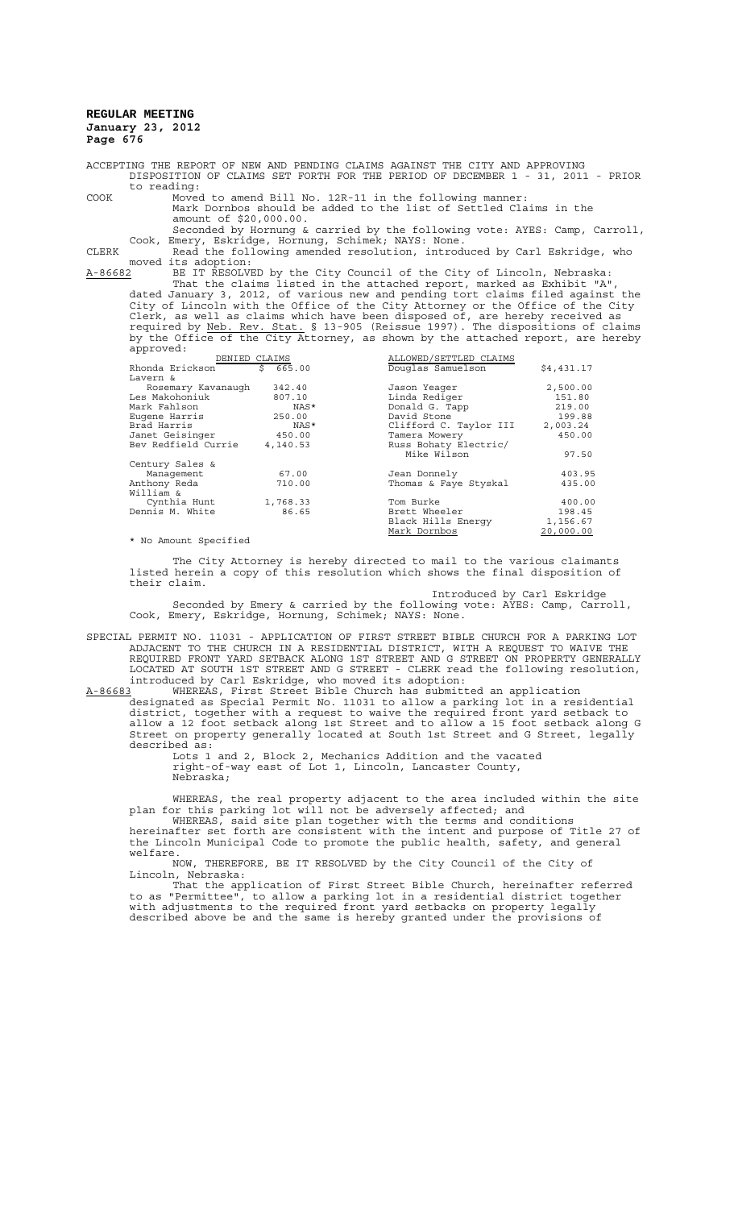ACCEPTING THE REPORT OF NEW AND PENDING CLAIMS AGAINST THE CITY AND APPROVING DISPOSITION OF CLAIMS SET FORTH FOR THE PERIOD OF DECEMBER 1 - 31, 2011 - PRIOR to reading:

COOK Moved to amend Bill No. 12R-11 in the following manner: Mark Dornbos should be added to the list of Settled Claims in the amount of \$20,000.00.

Seconded by Hornung & carried by the following vote: AYES: Camp, Carroll, Cook, Emery, Eskridge, Hornung, Schimek; NAYS: None.

CLERK Read the following amended resolution, introduced by Carl Eskridge, who moved its adoption:

A-86682 BE IT RESOLVED by the City Council of the City of Lincoln, Nebraska: That the claims listed in the attached report, marked as Exhibit "A",

dated January 3, 2012, of various new and pending tort claims filed against the City of Lincoln with the Office of the City Attorney or the Office of the City Clerk, as well as claims which have been disposed of, are hereby received as required by <u>Neb. Rev. Stat.</u> § 13-905 (Reissue 1997). The dispositions of claims by the Office of the City Attorney, as shown by the attached report, are hereby approved:

| DENIED CLAIMS                                                                                                                         |          | ALLOWED/SETTLED CLAIMS |            |
|---------------------------------------------------------------------------------------------------------------------------------------|----------|------------------------|------------|
| Rhonda Erickson                                                                                                                       | \$665.00 | Douglas Samuelson      | \$4,431.17 |
| Lavern &                                                                                                                              |          |                        |            |
| Rosemary Kavanaugh                                                                                                                    | 342.40   | Jason Yeager           | 2,500.00   |
| Les Makohoniuk                                                                                                                        | 807.10   | Linda Rediger          | 151.80     |
| Mark Fahlson                                                                                                                          | NAS*     | Donald G. Tapp         | 219.00     |
| Eugene Harris                                                                                                                         | 250.00   | David Stone            | 199.88     |
| Brad Harris                                                                                                                           | NAS*     | Clifford C. Taylor III | 2,003.24   |
| Janet Geisinger                                                                                                                       | 450.00   | Tamera Mowery          | 450.00     |
| Bev Redfield Currie                                                                                                                   | 4,140.53 | Russ Bohaty Electric/  |            |
|                                                                                                                                       |          | Mike Wilson            | 97.50      |
| Century Sales &                                                                                                                       |          |                        |            |
| Management                                                                                                                            | 67.00    | Jean Donnely           | 403.95     |
| Anthony Reda                                                                                                                          | 710.00   | Thomas & Faye Styskal  | 435.00     |
| William &                                                                                                                             |          |                        |            |
| Cynthia Hunt                                                                                                                          | 1,768.33 | Tom Burke              | 400.00     |
| Dennis M. White                                                                                                                       | 86.65    | Brett Wheeler          | 198.45     |
|                                                                                                                                       |          | Black Hills Energy     | 1,156.67   |
|                                                                                                                                       |          | Mark Dornbos           | 20,000.00  |
| $\overline{a}$ , $\overline{a}$ , $\overline{a}$ , $\overline{a}$ , $\overline{a}$ , $\overline{a}$ , $\overline{a}$ , $\overline{a}$ |          |                        |            |

\* No Amount Specified

The City Attorney is hereby directed to mail to the various claimants listed herein a copy of this resolution which shows the final disposition of their claim.

Introduced by Carl Eskridge Seconded by Emery & carried by the following vote: AYES: Camp, Carroll, Cook, Emery, Eskridge, Hornung, Schimek; NAYS: None.

SPECIAL PERMIT NO. 11031 - APPLICATION OF FIRST STREET BIBLE CHURCH FOR A PARKING LOT ADJACENT TO THE CHURCH IN A RESIDENTIAL DISTRICT, WITH A REQUEST TO WAIVE THE REQUIRED FRONT YARD SETBACK ALONG 1ST STREET AND G STREET ON PROPERTY GENERALLY LOCATED AT SOUTH 1ST STREET AND G STREET - CLERK read the following resolution, introduced by Carl Eskridge, who moved its adoption:

A-86683 WHEREAS, First Street Bible Church has submitted an application designated as Special Permit No. 11031 to allow a parking lot in a residential district, together with a request to waive the required front yard setback to allow a 12 foot setback along 1st Street and to allow a 15 foot setback along G Street on property generally located at South 1st Street and G Street, legally described as:

Lots 1 and 2, Block 2, Mechanics Addition and the vacated right-of-way east of Lot 1, Lincoln, Lancaster County, Nebraska;

WHEREAS, the real property adjacent to the area included within the site plan for this parking lot will not be adversely affected; and

WHEREAS, said site plan together with the terms and conditions hereinafter set forth are consistent with the intent and purpose of Title 27 of the Lincoln Municipal Code to promote the public health, safety, and general welfare.

NOW, THEREFORE, BE IT RESOLVED by the City Council of the City of Lincoln, Nebraska:

That the application of First Street Bible Church, hereinafter referred to as "Permittee", to allow a parking lot in a residential district together with adjustments to the required front yard setbacks on property legally described above be and the same is hereby granted under the provisions of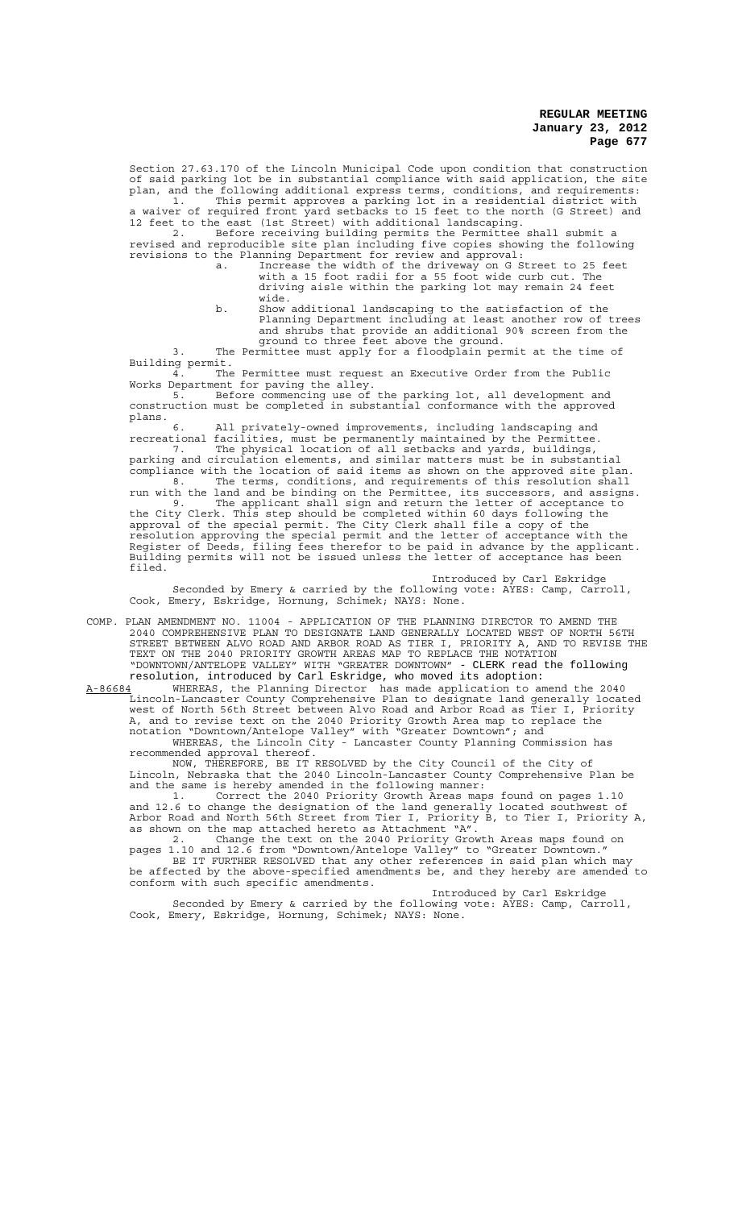Section 27.63.170 of the Lincoln Municipal Code upon condition that construction of said parking lot be in substantial compliance with said application, the site plan, and the following additional express terms, conditions, and requirements: 1. This permit approves a parking lot in a residential district with

a waiver of required front yard setbacks to 15 feet to the north (G Street) and 12 feet to the east (1st Street) with additional landscaping. 2. Before receiving building permits the Permittee shall submit a

revised and reproducible site plan including five copies showing the following revisions to the Planning Department for review and approval: a. Increase the width of the driveway on G Street to 25 feet

- with a 15 foot radii for a 55 foot wide curb cut. The driving aisle within the parking lot may remain 24 feet wide.
- b. Show additional landscaping to the satisfaction of the Planning Department including at least another row of trees and shrubs that provide an additional 90% screen from the ground to three feet above the ground.

3. The Permittee must apply for a floodplain permit at the time of Building permit. 4. The Permittee must request an Executive Order from the Public

Works Department for paving the alley. 5. Before commencing use of the parking lot, all development and construction must be completed in substantial conformance with the approved cons.<br>plans.<br>6.

6. All privately-owned improvements, including landscaping and recreational facilities, must be permanently maintained by the Permittee. 7. The physical location of all setbacks and yards, buildings, parking and circulation elements, and similar matters must be in substantial compliance with the location of said items as shown on the approved site plan.

8. The terms, conditions, and requirements of this resolution shall run with the land and be binding on the Permittee, its successors, and assigns. 9. The applicant shall sign and return the letter of acceptance to the City Clerk. This step should be completed within 60 days following the approval of the special permit. The City Clerk shall file a copy of the resolution approving the special permit and the letter of acceptance with the Register of Deeds, filing fees therefor to be paid in advance by the applicant. Building permits will not be issued unless the letter of acceptance has been filed.

Introduced by Carl Eskridge Seconded by Emery & carried by the following vote: AYES: Camp, Carroll, Cook, Emery, Eskridge, Hornung, Schimek; NAYS: None.

COMP. PLAN AMENDMENT NO. 11004 - APPLICATION OF THE PLANNING DIRECTOR TO AMEND THE 2040 COMPREHENSIVE PLAN TO DESIGNATE LAND GENERALLY LOCATED WEST OF NORTH 56TH STREET BETWEEN ALVO ROAD AND ARBOR ROAD AS TIER I, PRIORITY A, AND TO REVISE THE TEXT ON THE 2040 PRIORITY GROWTH AREAS MAP TO REPLACE THE NOTATION "DOWNTOWN/ANTELOPE VALLEY" WITH "GREATER DOWNTOWN" - CLERK read the following

resolution, introduced by Carl Eskridge, who moved its adoption:<br>A-86684 WHEREAS, the Planning Director has made application to am A-86684 MHEREAS, the Planning Director has made application to amend the 2040 Lincoln-Lancaster County Comprehensive Plan to designate land generally located west of North 56th Street between Alvo Road and Arbor Road as Tier I, Priority A, and to revise text on the 2040 Priority Growth Area map to replace the notation "Downtown/Antelope Valley" with "Greater Downtown"; and

WHEREAS, the Lincoln City - Lancaster County Planning Commission has recommended approval thereof.

NOW, THEREFORE, BE IT RESOLVED by the City Council of the City of Lincoln, Nebraska that the 2040 Lincoln-Lancaster County Comprehensive Plan be and the same is hereby amended in the following manner:

1. Correct the 2040 Priority Growth Areas maps found on pages 1.10 and 12.6 to change the designation of the land generally located southwest of Arbor Road and North 56th Street from Tier I, Priority B, to Tier I, Priority A, as shown on the map attached hereto as Attachment "A".

2. Change the text on the 2040 Priority Growth Areas maps found on pages 1.10 and 12.6 from "Downtown/Antelope Valley" to "Greater Downtown." BE IT FURTHER RESOLVED that any other references in said plan which may be affected by the above-specified amendments be, and they hereby are amended to conform with such specific amendments.

Introduced by Carl Eskridge

Seconded by Emery & carried by the following vote: AYES: Camp, Carroll, Cook, Emery, Eskridge, Hornung, Schimek; NAYS: None.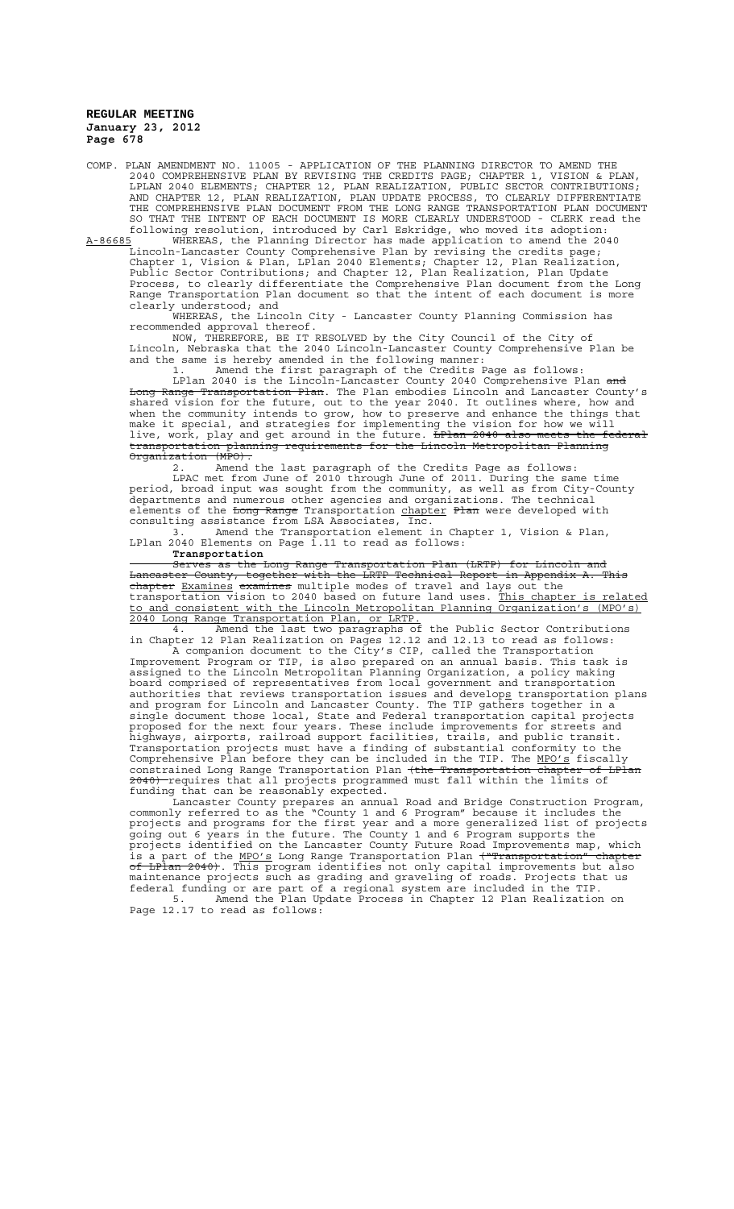COMP. PLAN AMENDMENT NO. 11005 - APPLICATION OF THE PLANNING DIRECTOR TO AMEND THE 2040 COMPREHENSIVE PLAN BY REVISING THE CREDITS PAGE; CHAPTER 1, VISION & PLAN, LPLAN 2040 ELEMENTS; CHAPTER 12, PLAN REALIZATION, PUBLIC SECTOR CONTRIBUTIONS; AND CHAPTER 12, PLAN REALIZATION, PLAN UPDATE PROCESS, TO CLEARLY DIFFERENTIATE THE COMPREHENSIVE PLAN DOCUMENT FROM THE LONG RANGE TRANSPORTATION PLAN DOCUMENT SO THAT THE INTENT OF EACH DOCUMENT IS MORE CLEARLY UNDERSTOOD - CLERK read the following resolution, introduced by Carl Eskridge, who moved its adoption:

A-86685 WHEREAS, the Planning Director has made application to amend the 2040 Lincoln-Lancaster County Comprehensive Plan by revising the credits page; Chapter 1, Vision & Plan, LPlan 2040 Elements; Chapter 12, Plan Realization, Public Sector Contributions; and Chapter 12, Plan Realization, Plan Update Process, to clearly differentiate the Comprehensive Plan document from the Long Range Transportation Plan document so that the intent of each document is more clearly understood; and

WHEREAS, the Lincoln City - Lancaster County Planning Commission has recommended approval thereof.

NOW, THEREFORE, BE IT RESOLVED by the City Council of the City of Lincoln, Nebraska that the 2040 Lincoln-Lancaster County Comprehensive Plan be and the same is hereby amended in the following manner:

Amend the first paragraph of the Credits Page as follows

LPlan 2040 is the Lincoln-Lancaster County 2040 Comprehensive Plan and Long Range Transportation Plan. The Plan embodies Lincoln and Lancaster County's shared vision for the future, out to the year 2040. It outlines where, how and when the community intends to grow, how to preserve and enhance the things that make it special, and strategies for implementing the vision for how we will live, work, play and get around in the future. <del>LPlan 2040 also meets the federal</del> transportation planning requirements for the Lincoln Metropolitan Planning Organization (MPO).

2. Amend the last paragraph of the Credits Page as follows:

LPAC met from June of 2010 through June of 2011. During the same time period, broad input was sought from the community, as well as from City-County departments and numerous other agencies and organizations. The technical elements of the <del>Long Range</del> Transportation <u>chapter</u> Plan were developed with consulting assistance from LSA Associates, Inc.

3. Amend the Transportation element in Chapter 1, Vision & Plan, LPlan 2040 Elements on Page 1.11 to read as follows:

**Transportation**

Serves as the Long Range Transportation Plan (LRTP) for Lincoln and Lancaster County, together with the LRTP Technical Report in Appendix A. This chapter Examines examines multiple modes of travel and lays out the transportation vision to 2040 based on future land uses. This chapter is related to and consistent with the Lincoln Metropolitan Planning Organization's (MPO's) 2040 Long Range Transportation Plan, or LRTP.

4. Amend the last two paragraphs of the Public Sector Contributions in Chapter 12 Plan Realization on Pages 12.12 and 12.13 to read as follows:

A companion document to the City's CIP, called the Transportation Improvement Program or TIP, is also prepared on an annual basis. This task is assigned to the Lincoln Metropolitan Planning Organization, a policy making board comprised of representatives from local government and transportation authorities that reviews transportation issues and develops transportation plans and program for Lincoln and Lancaster County. The TIP gathers together in a single document those local, State and Federal transportation capital projects proposed for the next four years. These include improvements for streets and highways, airports, railroad support facilities, trails, and public transit. Transportation projects must have a finding of substantial conformity to the Comprehensive Plan before they can be included in the TIP. The MPO's fiscally constrained Long Range Transportation Plan <del>(the Transportation chapter of LPlan</del> 2040) requires that all projects programmed must fall within the limits of funding that can be reasonably expected.

Lancaster County prepares an annual Road and Bridge Construction Program, commonly referred to as the "County 1 and 6 Program" because it includes the projects and programs for the first year and a more generalized list of projects going out 6 years in the future. The County 1 and 6 Program supports the projects identified on the Lancaster County Future Road Improvements map, which is a part of the MPO's Long Range Transportation Plan ("Transportation" chapter of LPlan 2040). This program identifies not only capital improvements but also maintenance projects such as grading and graveling of roads. Projects that us federal funding or are part of a regional system are included in the TIP.

5. Amend the Plan Update Process in Chapter 12 Plan Realization on Page 12.17 to read as follows: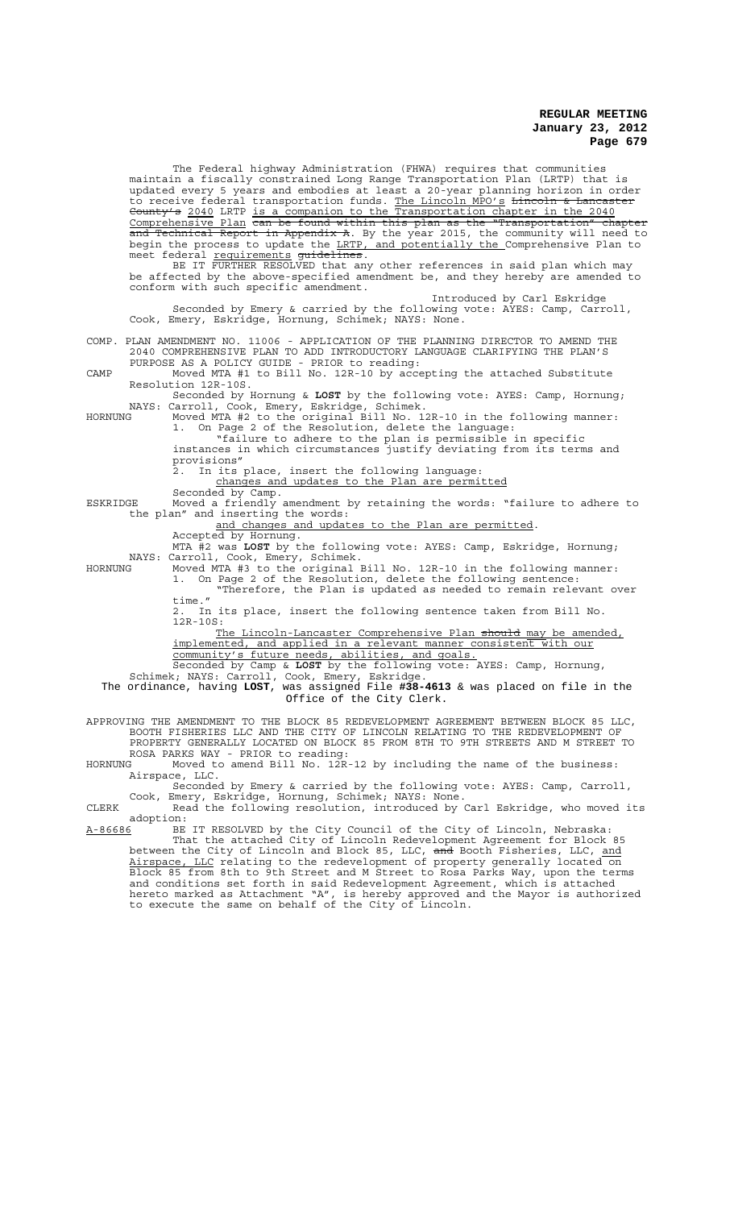The Federal highway Administration (FHWA) requires that communities maintain a fiscally constrained Long Range Transportation Plan (LRTP) that is updated every 5 years and embodies at least a 20-year planning horizon in order to receive federal transportation funds. <u>The Lincoln MPO's</u> <del>Lincoln & Lancaster</del> County's 2040 LRTP is a companion to the Transportation chapter in the 2040 Comprehensive Plan can be found within this plan as the "Transportation" chapter Technical Report in Appendix A. By the year 2015, the community will need begin the process to update the <u>LRTP, and potentially the Comprehensive Plan</u> to meet federal requirements guidelines. BE IT FURTHER RESOLVED that any other references in said plan which may be affected by the above-specified amendment be, and they hereby are amended to conform with such specific amendment. Introduced by Carl Eskridge Seconded by Emery & carried by the following vote: AYES: Camp, Carroll, Cook, Emery, Eskridge, Hornung, Schimek; NAYS: None. COMP. PLAN AMENDMENT NO. 11006 - APPLICATION OF THE PLANNING DIRECTOR TO AMEND THE 2040 COMPREHENSIVE PLAN TO ADD INTRODUCTORY LANGUAGE CLARIFYING THE PLAN'S PURPOSE AS A POLICY GUIDE - PRIOR to reading: CAMP Moved MTA #1 to Bill No. 12R-10 by accepting the attached Substitute Resolution 12R-10S. Seconded by Hornung & **LOST** by the following vote: AYES: Camp, Hornung; NAYS: Carroll, Cook, Emery, Eskridge, Schimek. HORNUNG Moved MTA #2 to the original Bill No. 12R-10 in the following manner: 1. On Page 2 of the Resolution, delete the language: "failure to adhere to the plan is permissible in specific instances in which circumstances justify deviating from its terms and provisions" 2. In its place, insert the following language: changes and updates to the Plan are permitted Seconded by Camp. ESKRIDGE Moved a friendly amendment by retaining the words: "failure to adhere to the plan" and inserting the words: and changes and updates to the Plan are permitted. Accepted by Hornung. MTA #2 was **LOST** by the following vote: AYES: Camp, Eskridge, Hornung; NAYS: Carroll, Cook, Emery, Schimek. HORNUNG Moved MTA #3 to the original Bill No. 12R-10 in the following manner: 1. On Page 2 of the Resolution, delete the following sentence: "Therefore, the Plan is updated as needed to remain relevant over time." 2. In its place, insert the following sentence taken from Bill No. 12R-10S: S:<br><u>The Lincoln-Lancaster Comprehensive Plan <del>should</del> may be amended,<br>ented, and applied in a <u>relevant manner consistent with our</u></u> implemented, and applied in a relevant manner consistent with our community's future needs, abilities, and goals. Seconded by Camp & **LOST** by the following vote: AYES: Camp, Hornung, Schimek; NAYS: Carroll, Cook, Emery, Eskridge. The ordinance, having **LOST**, was assigned File **#38-4613** & was placed on file in the Office of the City Clerk. APPROVING THE AMENDMENT TO THE BLOCK 85 REDEVELOPMENT AGREEMENT BETWEEN BLOCK 85 LLC, BOOTH FISHERIES LLC AND THE CITY OF LINCOLN RELATING TO THE REDEVELOPMENT OF PROPERTY GENERALLY LOCATED ON BLOCK 85 FROM 8TH TO 9TH STREETS AND M STREET TO ROSA PARKS WAY - PRIOR to reading:<br>HORNUNG Moved to amend Bill No. 12R Moved to amend Bill No.  $12R-12$  by including the name of the business: Airspace, LLC. Seconded by Emery & carried by the following vote: AYES: Camp, Carroll, Cook, Emery, Eskridge, Hornung, Schimek; NAYS: None. CLERK Read the following resolution, introduced by Carl Eskridge, who moved its adoption: A-86686 BE IT RESOLVED by the City Council of the City of Lincoln, Nebraska: That the attached City of Lincoln Redevelopment Agreement for Block 85 between the City of Lincoln and Block 85, LLC, <del>and</del> Booth Fisheries, LLC, <u>and</u> Airspace, LLC relating to the redevelopment of property generally located on Block 85 from 8th to 9th Street and M Street to Rosa Parks Way, upon the terms and conditions set forth in said Redevelopment Agreement, which is attached hereto marked as Attachment "A", is hereby approved and the Mayor is authorized to execute the same on behalf of the City of Lincoln.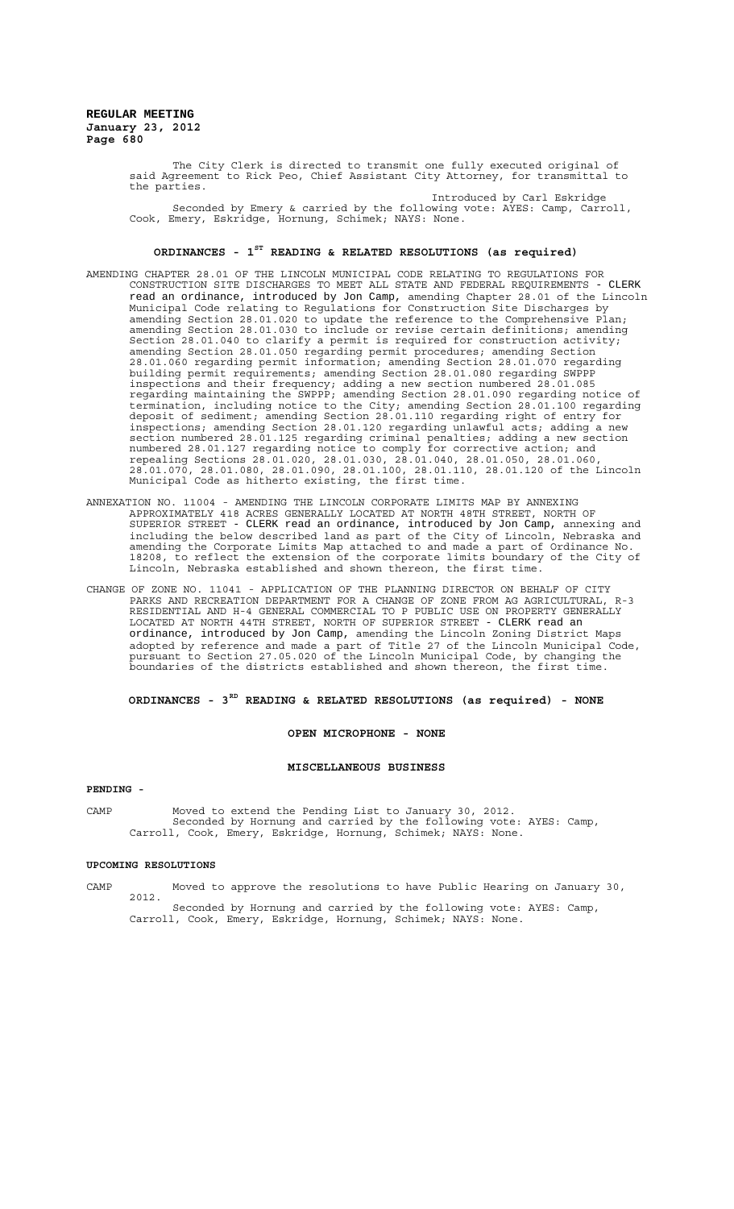> The City Clerk is directed to transmit one fully executed original of said Agreement to Rick Peo, Chief Assistant City Attorney, for transmittal to the parties. Introduced by Carl Eskridge

> Seconded by Emery & carried by the following vote: AYES: Camp, Carroll, Cook, Emery, Eskridge, Hornung, Schimek; NAYS: None.

## **ORDINANCES - 1ST READING & RELATED RESOLUTIONS (as required)**

- AMENDING CHAPTER 28.01 OF THE LINCOLN MUNICIPAL CODE RELATING TO REGULATIONS FOR CONSTRUCTION SITE DISCHARGES TO MEET ALL STATE AND FEDERAL REQUIREMENTS - CLERK read an ordinance, introduced by Jon Camp, amending Chapter 28.01 of the Lincoln Municipal Code relating to Regulations for Construction Site Discharges by amending Section 28.01.020 to update the reference to the Comprehensive Plan; amending Section 28.01.030 to include or revise certain definitions; amending Section 28.01.040 to clarify a permit is required for construction activity; amending Section 28.01.050 regarding permit procedures; amending Section 28.01.060 regarding permit information; amending Section 28.01.070 regarding building permit requirements; amending Section 28.01.080 regarding SWPPP inspections and their frequency; adding a new section numbered 28.01.085 regarding maintaining the SWPPP; amending Section 28.01.090 regarding notice of termination, including notice to the City; amending Section 28.01.100 regarding deposit of sediment; amending Section 28.01.110 regarding right of entry for inspections; amending Section 28.01.120 regarding unlawful acts; adding a new section numbered 28.01.125 regarding criminal penalties; adding a new section numbered 28.01.127 regarding notice to comply for corrective action; and repealing Sections 28.01.020, 28.01.030, 28.01.040, 28.01.050, 28.01.060, 28.01.070, 28.01.080, 28.01.090, 28.01.100, 28.01.110, 28.01.120 of the Lincoln Municipal Code as hitherto existing, the first time.
- ANNEXATION NO. 11004 AMENDING THE LINCOLN CORPORATE LIMITS MAP BY ANNEXING APPROXIMATELY 418 ACRES GENERALLY LOCATED AT NORTH 48TH STREET, NORTH OF SUPERIOR STREET - CLERK read an ordinance, introduced by Jon Camp, annexing and including the below described land as part of the City of Lincoln, Nebraska and amending the Corporate Limits Map attached to and made a part of Ordinance No. 18208, to reflect the extension of the corporate limits boundary of the City of Lincoln, Nebraska established and shown thereon, the first time.
- CHANGE OF ZONE NO. 11041 APPLICATION OF THE PLANNING DIRECTOR ON BEHALF OF CITY PARKS AND RECREATION DEPARTMENT FOR A CHANGE OF ZONE FROM AG AGRICULTURAL, R-3 RESIDENTIAL AND H-4 GENERAL COMMERCIAL TO P PUBLIC USE ON PROPERTY GENERALLY LOCATED AT NORTH 44TH STREET, NORTH OF SUPERIOR STREET - CLERK read an ordinance, introduced by Jon Camp, amending the Lincoln Zoning District Maps adopted by reference and made a part of Title 27 of the Lincoln Municipal Code, pursuant to Section 27.05.020 of the Lincoln Municipal Code, by changing the boundaries of the districts established and shown thereon, the first time.

# **ORDINANCES - 3RD READING & RELATED RESOLUTIONS (as required) - NONE**

## **OPEN MICROPHONE - NONE**

#### **MISCELLANEOUS BUSINESS**

#### **PENDING -**

CAMP Moved to extend the Pending List to January 30, 2012. Seconded by Hornung and carried by the following vote: AYES: Camp, Carroll, Cook, Emery, Eskridge, Hornung, Schimek; NAYS: None.

#### **UPCOMING RESOLUTIONS**

CAMP Moved to approve the resolutions to have Public Hearing on January 30, 2012.

Seconded by Hornung and carried by the following vote: AYES: Camp, Carroll, Cook, Emery, Eskridge, Hornung, Schimek; NAYS: None.